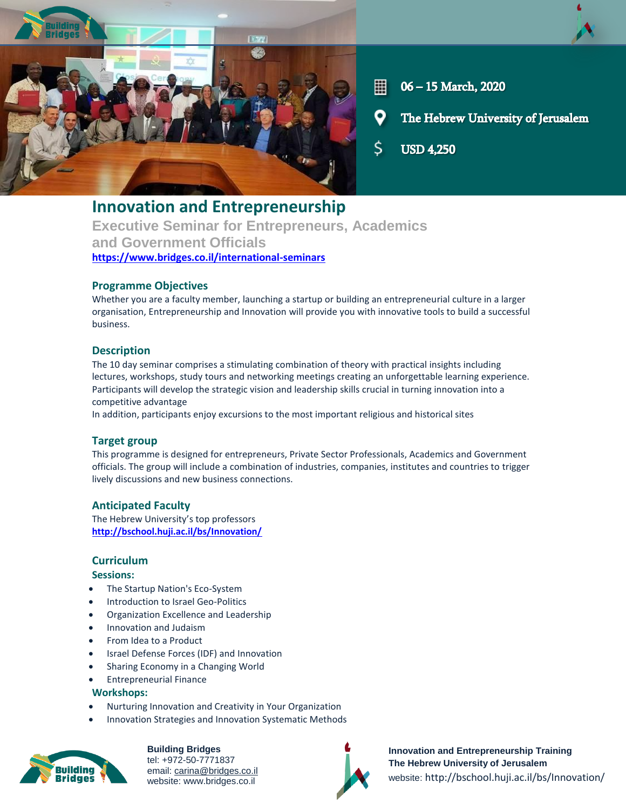

- ▦ 06 - 15 March, 2020
- The Hebrew University of Jerusalem

Ś **USD 4.250** 

# **Innovation and Entrepreneurship Executive Seminar for Entrepreneurs, Academics and Government Officials <https://www.bridges.co.il/international-seminars>**

## **Programme Objectives**

Whether you are a faculty member, launching a startup or building an entrepreneurial culture in a larger organisation, Entrepreneurship and Innovation will provide you with innovative tools to build a successful business.

## **Description**

The 10 day seminar comprises a stimulating combination of theory with practical insights including lectures, workshops, study tours and networking meetings creating an unforgettable learning experience. Participants will develop the strategic vision and leadership skills crucial in turning innovation into a competitive advantage

In addition, participants enjoy excursions to the most important religious and historical sites

# **Target group**

This programme is designed for entrepreneurs, Private Sector Professionals, Academics and Government officials. The group will include a combination of industries, companies, institutes and countries to trigger lively discussions and new business connections.

## **Anticipated Faculty**

The Hebrew University's top professors **<http://bschool.huji.ac.il/bs/Innovation/>**

## **Curriculum**

#### **Sessions:**

- The Startup Nation's Eco-System
- Introduction to Israel Geo-Politics
- Organization Excellence and Leadership
- Innovation and Judaism
- From Idea to a Product
- Israel Defense Forces (IDF) and Innovation
- Sharing Economy in a Changing World
- Entrepreneurial Finance

#### **Workshops:**

- Nurturing Innovation and Creativity in Your Organization
- Innovation Strategies and Innovation Systematic Methods



**Building Bridges** tel: +972-50-7771837 email: carina@bridges.co.il website: www.bridges.co.il



**Innovation and Entrepreneurship Training The Hebrew University of Jerusalem** website: http://bschool.huji.ac.il/bs/Innovation/